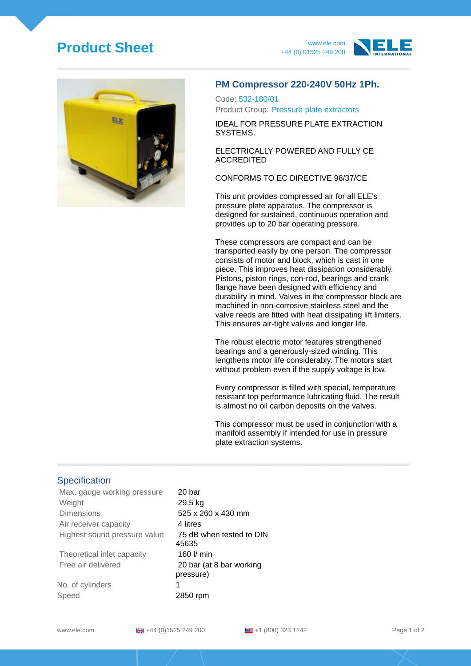## **Product Sheet** www.ele.com





#### **PM Compressor 220-240V 50Hz 1Ph.**

Code: 532-180/01 Product Group: Pressure plate extractors

IDEAL FOR PRESSURE PLATE EXTRACTION SYSTEMS.

ELECTRICALLY POWERED AND FULLY CE ACCREDITED

CONFORMS TO EC DIRECTIVE 98/37/CE

This unit provides compressed air for all ELE's pressure plate apparatus. The compressor is designed for sustained, continuous operation and provides up to 20 bar operating pressure.

These compressors are compact and can be transported easily by one person. The compressor consists of motor and block, which is cast in one piece. This improves heat dissipation considerably. Pistons, piston rings, con-rod, bearings and crank flange have been designed with efficiency and durability in mind. Valves in the compressor block are machined in non-corrosive stainless steel and the valve reeds are fitted with heat dissipating lift limiters. This ensures air-tight valves and longer life.

The robust electric motor features strengthened bearings and a generously-sized winding. This lengthens motor life considerably. The motors start without problem even if the supply voltage is low.

Every compressor is filled with special, temperature resistant top performance lubricating fluid. The result is almost no oil carbon deposits on the valves.

This compressor must be used in conjunction with a manifold assembly if intended for use in pressure plate extraction systems.

### **Specification**

Max. gauge working pressure 20 bar Weight 29.5 kg Dimensions 525 x 260 x 430 mm Air receiver capacity **4 litres** Highest sound pressure value 75 dB when tested to DIN Theoretical inlet capacity **160 l/ min** 

No. of cylinders 1 Speed 2850 rpm

45635 Free air delivered 20 bar (at 8 bar working pressure)